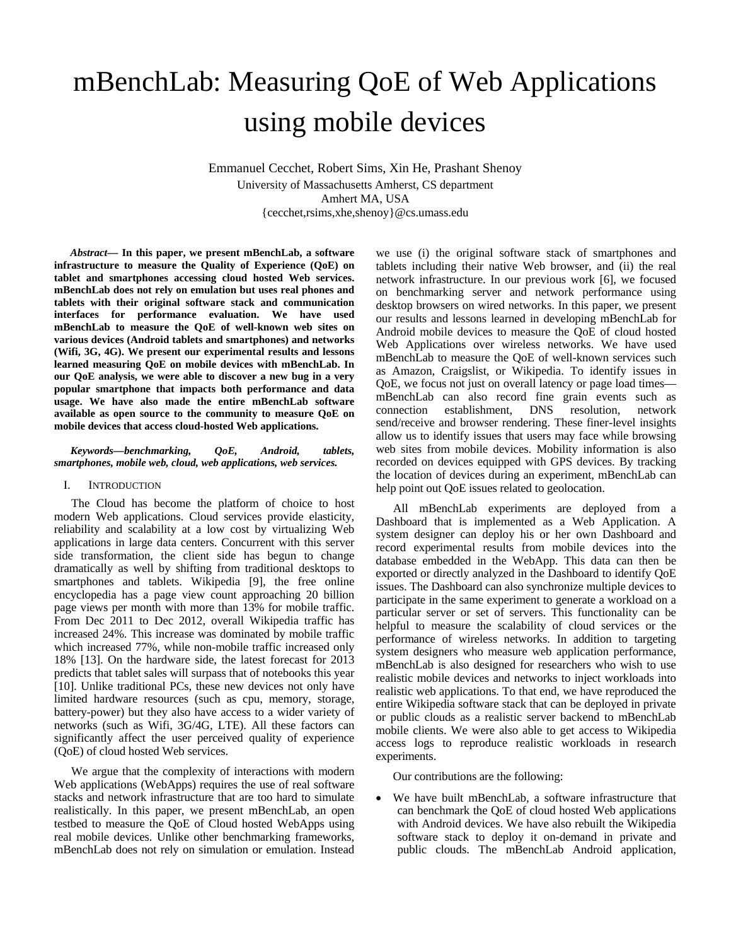# mBenchLab: Measuring QoE of Web Applications using mobile devices

Emmanuel Cecchet, Robert Sims, Xin He, Prashant Shenoy University of Massachusetts Amherst, CS department Amhert MA, USA {cecchet,rsims,xhe,shenoy}@cs.umass.edu

*Abstract***— In this paper, we present mBenchLab, a software infrastructure to measure the Quality of Experience (QoE) on tablet and smartphones accessing cloud hosted Web services. mBenchLab does not rely on emulation but uses real phones and tablets with their original software stack and communication interfaces for performance evaluation. We have used mBenchLab to measure the QoE of well-known web sites on various devices (Android tablets and smartphones) and networks (Wifi, 3G, 4G). We present our experimental results and lessons learned measuring QoE on mobile devices with mBenchLab. In our QoE analysis, we were able to discover a new bug in a very popular smartphone that impacts both performance and data usage. We have also made the entire mBenchLab software available as open source to the community to measure QoE on mobile devices that access cloud-hosted Web applications.**

*Keywords—benchmarking, QoE, Android, tablets, smartphones, mobile web, cloud, web applications, web services.*

#### I. INTRODUCTION

The Cloud has become the platform of choice to host modern Web applications. Cloud services provide elasticity, reliability and scalability at a low cost by virtualizing Web applications in large data centers. Concurrent with this server side transformation, the client side has begun to change dramatically as well by shifting from traditional desktops to smartphones and tablets. Wikipedia [\[9\],](#page-9-0) the free online encyclopedia has a page view count approaching 20 billion page views per month with more than 13% for mobile traffic. From Dec 2011 to Dec 2012, overall Wikipedia traffic has increased 24%. This increase was dominated by mobile traffic which increased 77%, while non-mobile traffic increased only 18% [\[13\].](#page-9-1) On the hardware side, the latest forecast for 2013 predicts that tablet sales will surpass that of notebooks this year [\[10\].](#page-9-2) Unlike traditional PCs, these new devices not only have limited hardware resources (such as cpu, memory, storage, battery-power) but they also have access to a wider variety of networks (such as Wifi, 3G/4G, LTE). All these factors can significantly affect the user perceived quality of experience (QoE) of cloud hosted Web services.

We argue that the complexity of interactions with modern Web applications (WebApps) requires the use of real software stacks and network infrastructure that are too hard to simulate realistically. In this paper, we present mBenchLab, an open testbed to measure the QoE of Cloud hosted WebApps using real mobile devices. Unlike other benchmarking frameworks, mBenchLab does not rely on simulation or emulation. Instead

we use (i) the original software stack of smartphones and tablets including their native Web browser, and (ii) the real network infrastructure. In our previous work [\[6\],](#page-9-3) we focused on benchmarking server and network performance using desktop browsers on wired networks. In this paper, we present our results and lessons learned in developing mBenchLab for Android mobile devices to measure the QoE of cloud hosted Web Applications over wireless networks. We have used mBenchLab to measure the QoE of well-known services such as Amazon, Craigslist, or Wikipedia. To identify issues in QoE, we focus not just on overall latency or page load times mBenchLab can also record fine grain events such as connection establishment, DNS resolution, network send/receive and browser rendering. These finer-level insights allow us to identify issues that users may face while browsing web sites from mobile devices. Mobility information is also recorded on devices equipped with GPS devices. By tracking the location of devices during an experiment, mBenchLab can help point out QoE issues related to geolocation.

All mBenchLab experiments are deployed from a Dashboard that is implemented as a Web Application. A system designer can deploy his or her own Dashboard and record experimental results from mobile devices into the database embedded in the WebApp. This data can then be exported or directly analyzed in the Dashboard to identify QoE issues. The Dashboard can also synchronize multiple devices to participate in the same experiment to generate a workload on a particular server or set of servers. This functionality can be helpful to measure the scalability of cloud services or the performance of wireless networks. In addition to targeting system designers who measure web application performance, mBenchLab is also designed for researchers who wish to use realistic mobile devices and networks to inject workloads into realistic web applications. To that end, we have reproduced the entire Wikipedia software stack that can be deployed in private or public clouds as a realistic server backend to mBenchLab mobile clients. We were also able to get access to Wikipedia access logs to reproduce realistic workloads in research experiments.

Our contributions are the following:

We have built mBenchLab, a software infrastructure that can benchmark the QoE of cloud hosted Web applications with Android devices. We have also rebuilt the Wikipedia software stack to deploy it on-demand in private and public clouds. The mBenchLab Android application,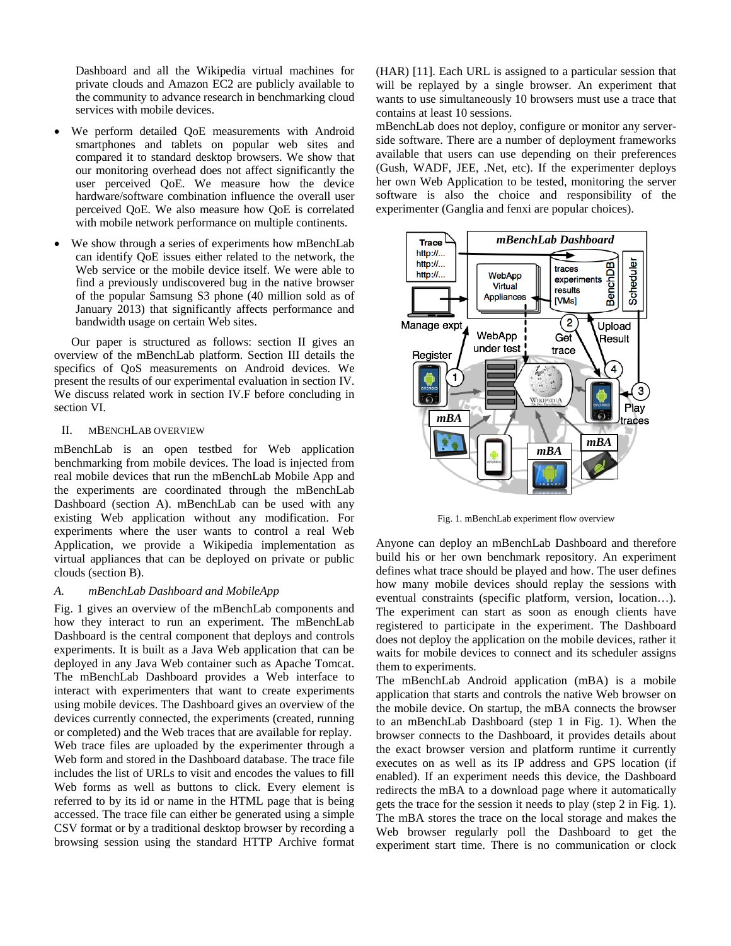Dashboard and all the Wikipedia virtual machines for private clouds and Amazon EC2 are publicly available to the community to advance research in benchmarking cloud services with mobile devices.

- We perform detailed QoE measurements with Android smartphones and tablets on popular web sites and compared it to standard desktop browsers. We show that our monitoring overhead does not affect significantly the user perceived QoE. We measure how the device hardware/software combination influence the overall user perceived QoE. We also measure how QoE is correlated with mobile network performance on multiple continents.
- We show through a series of experiments how mBenchLab can identify QoE issues either related to the network, the Web service or the mobile device itself. We were able to find a previously undiscovered bug in the native browser of the popular Samsung S3 phone (40 million sold as of January 2013) that significantly affects performance and bandwidth usage on certain Web sites.

Our paper is structured as follows: section [II](#page-1-0) gives an overview of the mBenchLab platform. Section [III](#page-2-0) details the specifics of QoS measurements on Android devices. We present the results of our experimental evaluation in section [IV.](#page-3-0) We discuss related work in section [IV.F](#page-8-0) before concluding in section [VI.](#page-9-4)

# <span id="page-1-0"></span>II. MBENCHLAB OVERVIEW

mBenchLab is an open testbed for Web application benchmarking from mobile devices. The load is injected from real mobile devices that run the mBenchLab Mobile App and the experiments are coordinated through the mBenchLab Dashboard (section [A\)](#page-1-1). mBenchLab can be used with any existing Web application without any modification. For experiments where the user wants to control a real Web Application, we provide a Wikipedia implementation as virtual appliances that can be deployed on private or public clouds (section [B\)](#page-2-1).

# <span id="page-1-1"></span>*A. mBenchLab Dashboard and MobileApp*

[Fig. 1](#page-1-2) gives an overview of the mBenchLab components and how they interact to run an experiment. The mBenchLab Dashboard is the central component that deploys and controls experiments. It is built as a Java Web application that can be deployed in any Java Web container such as Apache Tomcat. The mBenchLab Dashboard provides a Web interface to interact with experimenters that want to create experiments using mobile devices. The Dashboard gives an overview of the devices currently connected, the experiments (created, running or completed) and the Web traces that are available for replay. Web trace files are uploaded by the experimenter through a Web form and stored in the Dashboard database. The trace file includes the list of URLs to visit and encodes the values to fill Web forms as well as buttons to click. Every element is referred to by its id or name in the HTML page that is being accessed. The trace file can either be generated using a simple CSV format or by a traditional desktop browser by recording a browsing session using the standard HTTP Archive format (HAR) [\[11\].](#page-9-5) Each URL is assigned to a particular session that will be replayed by a single browser. An experiment that wants to use simultaneously 10 browsers must use a trace that contains at least 10 sessions.

mBenchLab does not deploy, configure or monitor any serverside software. There are a number of deployment frameworks available that users can use depending on their preferences (Gush, WADF, JEE, .Net, etc). If the experimenter deploys her own Web Application to be tested, monitoring the server software is also the choice and responsibility of the experimenter (Ganglia and fenxi are popular choices).



Fig. 1. mBenchLab experiment flow overview

<span id="page-1-2"></span>Anyone can deploy an mBenchLab Dashboard and therefore build his or her own benchmark repository. An experiment defines what trace should be played and how. The user defines how many mobile devices should replay the sessions with eventual constraints (specific platform, version, location…). The experiment can start as soon as enough clients have registered to participate in the experiment. The Dashboard does not deploy the application on the mobile devices, rather it waits for mobile devices to connect and its scheduler assigns them to experiments.

The mBenchLab Android application (mBA) is a mobile application that starts and controls the native Web browser on the mobile device. On startup, the mBA connects the browser to an mBenchLab Dashboard (step 1 in [Fig. 1\)](#page-1-2). When the browser connects to the Dashboard, it provides details about the exact browser version and platform runtime it currently executes on as well as its IP address and GPS location (if enabled). If an experiment needs this device, the Dashboard redirects the mBA to a download page where it automatically gets the trace for the session it needs to play (step 2 in [Fig. 1\)](#page-1-2). The mBA stores the trace on the local storage and makes the Web browser regularly poll the Dashboard to get the experiment start time. There is no communication or clock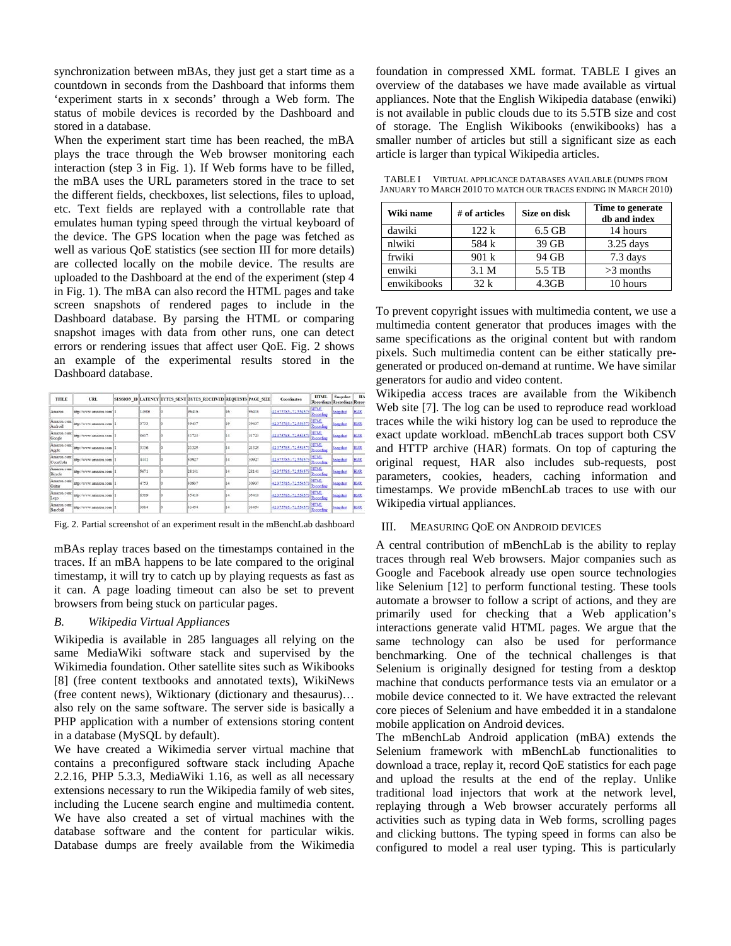synchronization between mBAs, they just get a start time as a countdown in seconds from the Dashboard that informs them 'experiment starts in x seconds' through a Web form. The status of mobile devices is recorded by the Dashboard and stored in a database.

When the experiment start time has been reached, the mBA plays the trace through the Web browser monitoring each interaction (step 3 in [Fig. 1\)](#page-1-2). If Web forms have to be filled, the mBA uses the URL parameters stored in the trace to set the different fields, checkboxes, list selections, files to upload, etc. Text fields are replayed with a controllable rate that emulates human typing speed through the virtual keyboard of the device. The GPS location when the page was fetched as well as various QoE statistics (see section [III](#page-2-0) for more details) are collected locally on the mobile device. The results are uploaded to the Dashboard at the end of the experiment (step 4 i[n Fig. 1\)](#page-1-2). The mBA can also record the HTML pages and take screen snapshots of rendered pages to include in the Dashboard database. By parsing the HTML or comparing snapshot images with data from other runs, one can detect errors or rendering issues that affect user QoE. [Fig. 2](#page-2-2) shows an example of the experimental results stored in the Dashboard database.

| TITLE                    | <b>URL</b>             |       | SESSION ID LATENCY BYTES SENT BYTES RECEIVED REQUESTS PAGE SIZE |     |       | Coordinates           | <b>HTML</b>              | Snapshot<br>Recordings Recordings Recors | <b>HA</b>   |
|--------------------------|------------------------|-------|-----------------------------------------------------------------|-----|-------|-----------------------|--------------------------|------------------------------------------|-------------|
| Amazon                   | http://www.amazon.com/ | 14906 | 96416                                                           | 16  | 06116 | 42375785.72354573     | <b>NEML</b><br>Recording | Snapshot                                 | <b>HAR</b>  |
| Amakrota. com<br>Android | laty, www.assacco.com  | 3733  | 39437                                                           | li9 | 39437 | 42 375785 - 72 55457  | <b>HTML</b><br>Recording | Spapulat                                 | <b>HAR</b>  |
| Amazon com<br>Knocgle    | future amazon com-     | 8607  | 31723                                                           | h4  | 31723 | 42 374785 .72 444573  | <b>HTML</b><br>Recording | Snapshot                                 | <b>HAR</b>  |
| Amazon com<br>Apple      | http://www.nasazon.com | 3336  | 21325                                                           | 14  | 21325 | 42.375785.72.554573   | HTML<br>Recording        | Seapshot                                 | <b>ILAR</b> |
| Amazon.com<br>CocaCola   | hitter/www.assance.com | 4441  | 30927                                                           | 14  | 30927 | 42 375785 - 12 554573 | <b>HEML</b><br>Recording | Seapulus                                 | HAK         |
| Amazon com<br>Bicycle    | http://www.amazon.com  | 3671  | 28141                                                           | 14  | 28141 | 12.375785.72.454573   | <b>HIML</b><br>Recording | Snapshot                                 | <b>HAR</b>  |
| Amazon com<br>Grater     | http://www.assazon.com | 4753  | 30937                                                           | l14 | 30937 | 42.375785.72.55457    | <b>HEML</b><br>Recording | Seapshot                                 | <b>BEAR</b> |
| Amazon.com<br>Lego       | http://www.asiazon.com | 8569  | 35410                                                           | 14  | 35410 | 42.375785.72.554573   | <b>HTML</b><br>Recording | Snapshot                                 | <b>HAR</b>  |
| Amazon.com<br>Baseball   | http://www.assazon.com | 3954  | 33454                                                           | 14  | 33454 | 42 375785, 72 55457   | <b>MTML</b><br>Recording | Seapshot                                 | HAR.        |

<span id="page-2-2"></span>Fig. 2. Partial screenshot of an experiment result in the mBenchLab dashboard

mBAs replay traces based on the timestamps contained in the traces. If an mBA happens to be late compared to the original timestamp, it will try to catch up by playing requests as fast as it can. A page loading timeout can also be set to prevent browsers from being stuck on particular pages.

#### <span id="page-2-1"></span>*B. Wikipedia Virtual Appliances*

Wikipedia is available in 285 languages all relying on the same MediaWiki software stack and supervised by the Wikimedia foundation. Other satellite sites such as Wikibooks [\[8\]](#page-9-6) (free content textbooks and annotated texts), WikiNews (free content news), Wiktionary (dictionary and thesaurus)… also rely on the same software. The server side is basically a PHP application with a number of extensions storing content in a database (MySQL by default).

We have created a Wikimedia server virtual machine that contains a preconfigured software stack including Apache 2.2.16, PHP 5.3.3, MediaWiki 1.16, as well as all necessary extensions necessary to run the Wikipedia family of web sites, including the Lucene search engine and multimedia content. We have also created a set of virtual machines with the database software and the content for particular wikis. Database dumps are freely available from the Wikimedia

foundation in compressed XML format. [TABLE I](#page-2-3) gives an overview of the databases we have made available as virtual appliances. Note that the English Wikipedia database (enwiki) is not available in public clouds due to its 5.5TB size and cost of storage. The English Wikibooks (enwikibooks) has a smaller number of articles but still a significant size as each article is larger than typical Wikipedia articles.

<span id="page-2-3"></span>TABLE I VIRTUAL APPLICANCE DATABASES AVAILABLE (DUMPS FROM JANUARY TO MARCH 2010 TO MATCH OUR TRACES ENDING IN MARCH 2010)

| <b>Wiki name</b> | # of articles | Size on disk      | Time to generate<br>db and index |  |  |
|------------------|---------------|-------------------|----------------------------------|--|--|
| dawiki           | 122 k         | $6.5$ GB          | 14 hours                         |  |  |
| nlwiki           | 584 k         | 39 GB             | $3.25$ days                      |  |  |
| frwiki           | 901 k         | 94 GB             | 7.3 days                         |  |  |
| enwiki           | 3.1 M         | 5.5 TB            | $>3$ months                      |  |  |
| enwikibooks      | 32k           | 4.3 <sub>GB</sub> | 10 hours                         |  |  |

To prevent copyright issues with multimedia content, we use a multimedia content generator that produces images with the same specifications as the original content but with random pixels. Such multimedia content can be either statically pregenerated or produced on-demand at runtime. We have similar generators for audio and video content.

Wikipedia access traces are available from the Wikibench Web site [\[7\].](#page-9-7) The log can be used to reproduce read workload traces while the wiki history log can be used to reproduce the exact update workload. mBenchLab traces support both CSV and HTTP archive (HAR) formats. On top of capturing the original request, HAR also includes sub-requests, post parameters, cookies, headers, caching information and timestamps. We provide mBenchLab traces to use with our Wikipedia virtual appliances.

# <span id="page-2-0"></span>III. MEASURING QOE ON ANDROID DEVICES

A central contribution of mBenchLab is the ability to replay traces through real Web browsers. Major companies such as Google and Facebook already use open source technologies like Selenium [\[12\]](#page-9-8) to perform functional testing. These tools automate a browser to follow a script of actions, and they are primarily used for checking that a Web application's interactions generate valid HTML pages. We argue that the same technology can also be used for performance benchmarking. One of the technical challenges is that Selenium is originally designed for testing from a desktop machine that conducts performance tests via an emulator or a mobile device connected to it. We have extracted the relevant core pieces of Selenium and have embedded it in a standalone mobile application on Android devices.

The mBenchLab Android application (mBA) extends the Selenium framework with mBenchLab functionalities to download a trace, replay it, record QoE statistics for each page and upload the results at the end of the replay. Unlike traditional load injectors that work at the network level, replaying through a Web browser accurately performs all activities such as typing data in Web forms, scrolling pages and clicking buttons. The typing speed in forms can also be configured to model a real user typing. This is particularly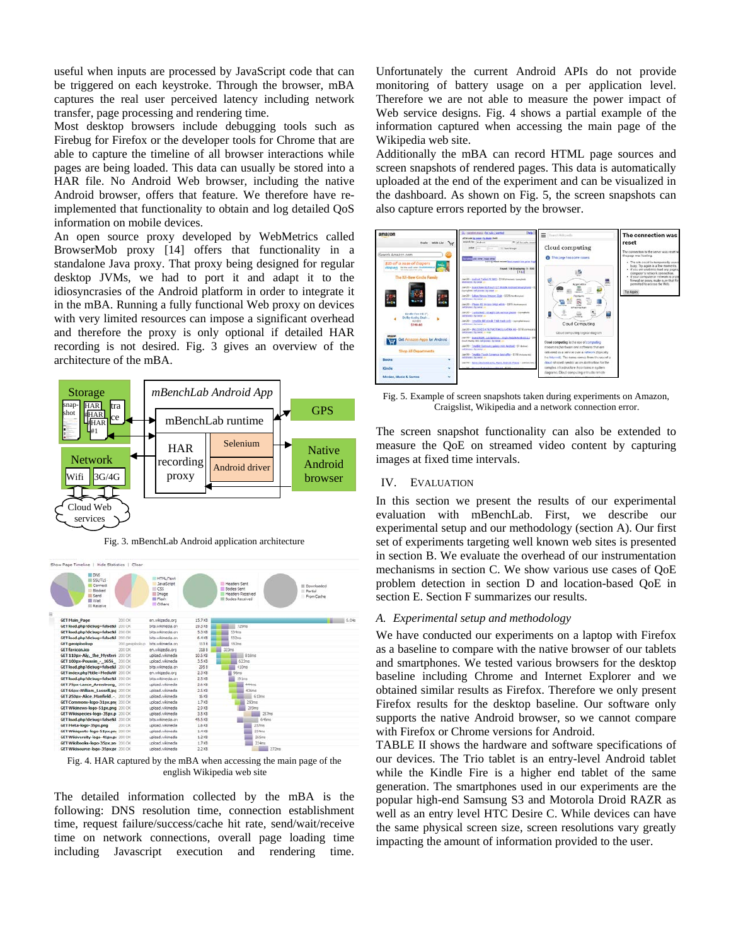useful when inputs are processed by JavaScript code that can be triggered on each keystroke. Through the browser, mBA captures the real user perceived latency including network transfer, page processing and rendering time.

Most desktop browsers include debugging tools such as Firebug for Firefox or the developer tools for Chrome that are able to capture the timeline of all browser interactions while pages are being loaded. This data can usually be stored into a HAR file. No Android Web browser, including the native Android browser, offers that feature. We therefore have reimplemented that functionality to obtain and log detailed QoS information on mobile devices.

An open source proxy developed by WebMetrics called BrowserMob proxy [\[14\]](#page-9-9) offers that functionality in a standalone Java proxy. That proxy being designed for regular desktop JVMs, we had to port it and adapt it to the idiosyncrasies of the Android platform in order to integrate it in the mBA. Running a fully functional Web proxy on devices with very limited resources can impose a significant overhead and therefore the proxy is only optional if detailed HAR recording is not desired. [Fig. 3](#page-3-1) gives an overview of the architecture of the mBA.



Fig. 3. mBenchLab Android application architecture

<span id="page-3-1"></span>

<span id="page-3-2"></span>Fig. 4. HAR captured by the mBA when accessing the main page of the english Wikipedia web site

The detailed information collected by the mBA is the following: DNS resolution time, connection establishment time, request failure/success/cache hit rate, send/wait/receive time on network connections, overall page loading time including Javascript execution and rendering time.

Unfortunately the current Android APIs do not provide monitoring of battery usage on a per application level. Therefore we are not able to measure the power impact of Web service designs. [Fig. 4](#page-3-2) shows a partial example of the information captured when accessing the main page of the Wikipedia web site.

Additionally the mBA can record HTML page sources and screen snapshots of rendered pages. This data is automatically uploaded at the end of the experiment and can be visualized in the dashboard. As shown on [Fig. 5,](#page-3-3) the screen snapshots can also capture errors reported by the browser.



<span id="page-3-3"></span>Fig. 5. Example of screen snapshots taken during experiments on Amazon, Craigslist, Wikipedia and a network connection error.

The screen snapshot functionality can also be extended to measure the QoE on streamed video content by capturing images at fixed time intervals.

#### <span id="page-3-0"></span>IV. EVALUATION

In this section we present the results of our experimental evaluation with mBenchLab. First, we describe our experimental setup and our methodology (section [A\)](#page-3-4). Our first set of experiments targeting well known web sites is presented in section [B.](#page-4-0) We evaluate the overhead of our instrumentation mechanisms in section [C.](#page-5-0) We show various use cases of QoE problem detection in section [D](#page-6-0) and location-based QoE in section [E.](#page-8-1) Section [F](#page-8-0) summarizes our results.

#### <span id="page-3-4"></span>*A. Experimental setup and methodology*

We have conducted our experiments on a laptop with Firefox as a baseline to compare with the native browser of our tablets and smartphones. We tested various browsers for the desktop baseline including Chrome and Internet Explorer and we obtained similar results as Firefox. Therefore we only present Firefox results for the desktop baseline. Our software only supports the native Android browser, so we cannot compare with Firefox or Chrome versions for Android.

[TABLE II](#page-4-1) shows the hardware and software specifications of our devices. The Trio tablet is an entry-level Android tablet while the Kindle Fire is a higher end tablet of the same generation. The smartphones used in our experiments are the popular high-end Samsung S3 and Motorola Droid RAZR as well as an entry level HTC Desire C. While devices can have the same physical screen size, screen resolutions vary greatly impacting the amount of information provided to the user.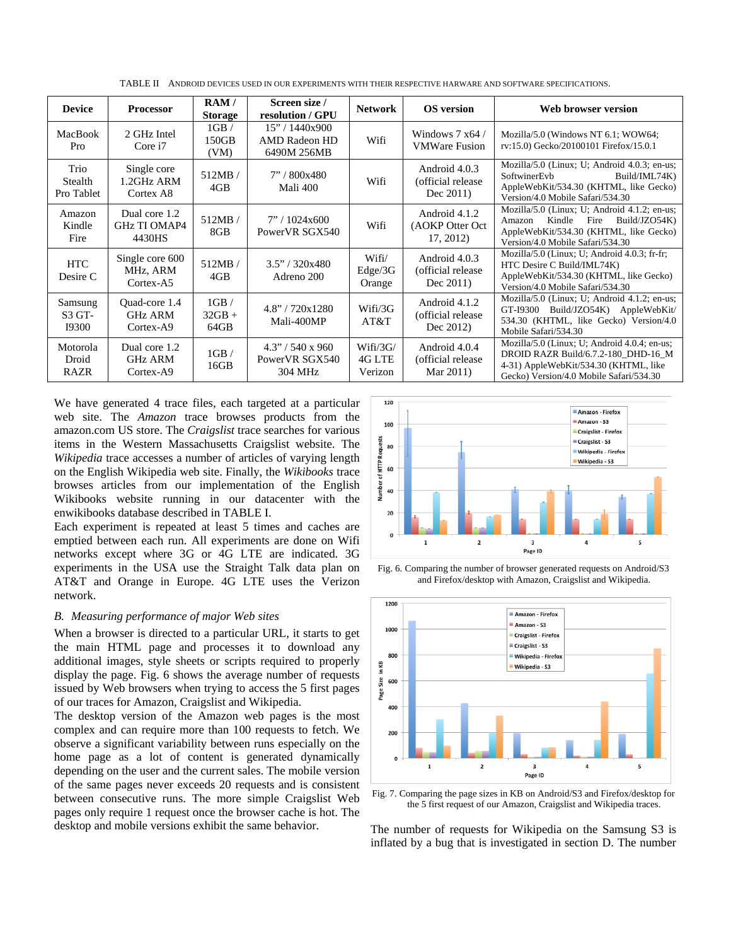| TABLE II ANDROID DEVICES USED IN OUR EXPERIMENTS WITH THEIR RESPECTIVE HARWARE AND SOFTWARE SPECIFICATIONS. |
|-------------------------------------------------------------------------------------------------------------|
|-------------------------------------------------------------------------------------------------------------|

<span id="page-4-1"></span>

| <b>Device</b>                 | <b>Processor</b>                               | RAM/<br><b>Storage</b>   | Screen size /<br>resolution / GPU                | <b>Network</b>                | <b>OS</b> version                                | Web browser version                                                                                                                                                     |
|-------------------------------|------------------------------------------------|--------------------------|--------------------------------------------------|-------------------------------|--------------------------------------------------|-------------------------------------------------------------------------------------------------------------------------------------------------------------------------|
| MacBook<br>Pro                | 2 GHz Intel<br>Core i7                         | 1GB/<br>150GB<br>(VM)    | 15" / 1440x900<br>AMD Radeon HD<br>6490M 256MB   | Wifi                          | Windows $7 \times 64$<br><b>VMWare Fusion</b>    | Mozilla/5.0 (Windows NT $6.1$ ; WOW64;<br>rv:15.0) Gecko/20100101 Firefox/15.0.1                                                                                        |
| Trio<br>Stealth<br>Pro Tablet | Single core<br>1.2GHz ARM<br>Cortex A8         | 512MB/<br>4GB            | 7''/800x480<br>Mali 400                          | Wifi                          | Android 4.0.3<br>(official release<br>Dec $2011$ | Mozilla/5.0 (Linux; U; Android 4.0.3; en-us;<br>SoftwinerEvb<br>Build/IML74K)<br>AppleWebKit/534.30 (KHTML, like Gecko)<br>Version/4.0 Mobile Safari/534.30             |
| Amazon<br>Kindle<br>Fire      | Dual core 1.2<br><b>GHZ TI OMAP4</b><br>4430HS | 512MB/<br>8GB            | 7''/1024x600<br>PowerVR SGX540                   | Wifi                          | Android 4.1.2<br>(AOKP Otter Oct)<br>17, 2012)   | Mozilla/5.0 (Linux; U; Android 4.1.2; en-us;<br>Build/JZO54K)<br>Kindle<br>Fire<br>Amazon<br>AppleWebKit/534.30 (KHTML, like Gecko)<br>Version/4.0 Mobile Safari/534.30 |
| <b>HTC</b><br>Desire C        | Single core 600<br>MHz, ARM<br>Cortex-A5       | 512MB/<br>4GB            | 3.5''/320x480<br>Adreno 200                      | Wifi/<br>Edge/3G<br>Orange    | Android 4.0.3<br>(official release<br>Dec 2011)  | Mozilla/5.0 (Linux; U; Android $4.0.3$ ; fr-fr;<br>HTC Desire C Build/IML74K)<br>AppleWebKit/534.30 (KHTML, like Gecko)<br>Version/4.0 Mobile Safari/534.30             |
| Samsung<br>$S3$ GT-<br>19300  | Ouad-core 1.4<br><b>GHz ARM</b><br>Cortex-A9   | 1GB/<br>$32GB +$<br>64GB | $4.8$ " / 720x1280<br>Mali-400MP                 | Wifi/3G<br>AT&T               | Android 4.1.2<br>(official release)<br>Dec 2012) | Mozilla/5.0 (Linux; U; Android 4.1.2; en-us;<br>GT-I9300 Build/JZO54K) AppleWebKit/<br>534.30 (KHTML, like Gecko) Version/4.0<br>Mobile Safari/534.30                   |
| Motorola<br>Droid<br>RAZR     | Dual core 1.2<br><b>GHz ARM</b><br>Cortex-A9   | 1GB/<br>16GB             | $4.3$ " / 540 x 960<br>PowerVR SGX540<br>304 MHz | Wifi/3G/<br>4G LTE<br>Verizon | Android 4.0.4<br>(official release)<br>Mar 2011) | Mozilla/5.0 (Linux; U; Android 4.0.4; en-us;<br>DROID RAZR Build/6.7.2-180 DHD-16 M<br>4-31) AppleWebKit/534.30 (KHTML, like<br>Gecko) Version/4.0 Mobile Safari/534.30 |

We have generated 4 trace files, each targeted at a particular web site. The *Amazon* trace browses products from the amazon.com US store. The *Craigslist* trace searches for various items in the Western Massachusetts Craigslist website. The *Wikipedia* trace accesses a number of articles of varying length on the English Wikipedia web site. Finally, the *Wikibooks* trace browses articles from our implementation of the English Wikibooks website running in our datacenter with the enwikibooks database described in [TABLE I.](#page-2-3)

Each experiment is repeated at least 5 times and caches are emptied between each run. All experiments are done on Wifi networks except where 3G or 4G LTE are indicated. 3G experiments in the USA use the Straight Talk data plan on AT&T and Orange in Europe. 4G LTE uses the Verizon network.

#### <span id="page-4-0"></span>*B. Measuring performance of major Web sites*

When a browser is directed to a particular URL, it starts to get the main HTML page and processes it to download any additional images, style sheets or scripts required to properly display the page. [Fig. 6](#page-4-2) shows the average number of requests issued by Web browsers when trying to access the 5 first pages of our traces for Amazon, Craigslist and Wikipedia.

The desktop version of the Amazon web pages is the most complex and can require more than 100 requests to fetch. We observe a significant variability between runs especially on the home page as a lot of content is generated dynamically depending on the user and the current sales. The mobile version of the same pages never exceeds 20 requests and is consistent between consecutive runs. The more simple Craigslist Web pages only require 1 request once the browser cache is hot. The desktop and mobile versions exhibit the same behavior.



<span id="page-4-2"></span>



Fig. 7. Comparing the page sizes in KB on Android/S3 and Firefox/desktop for the 5 first request of our Amazon, Craigslist and Wikipedia traces.

The number of requests for Wikipedia on the Samsung S3 is inflated by a bug that is investigated in section [D.](#page-6-0) The number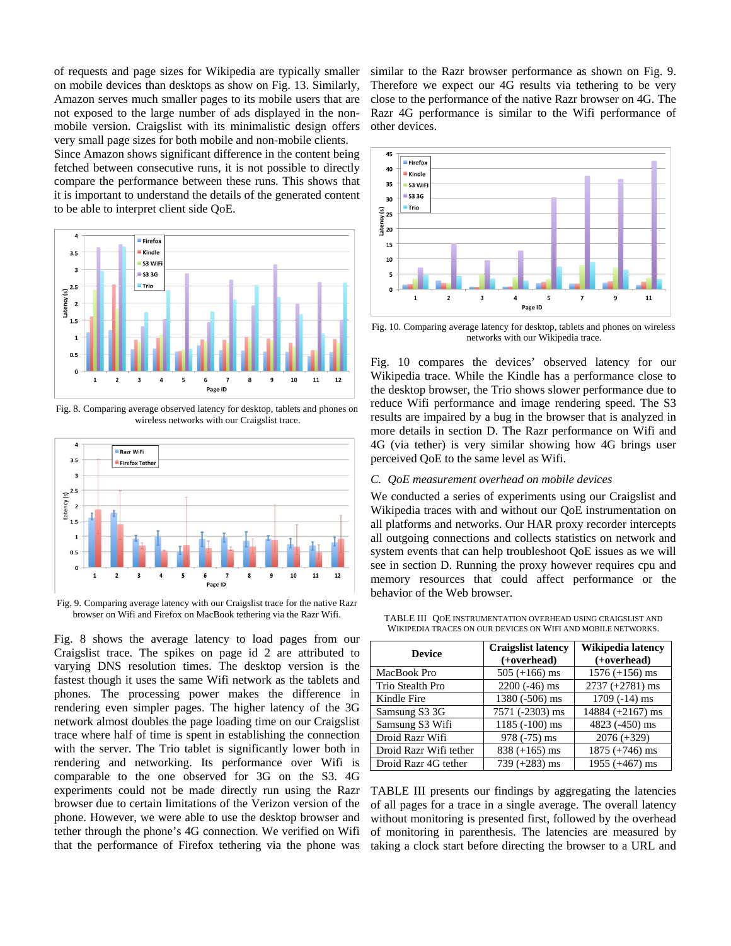of requests and page sizes for Wikipedia are typically smaller on mobile devices than desktops as show on [Fig. 13.](#page-7-0) Similarly, Amazon serves much smaller pages to its mobile users that are not exposed to the large number of ads displayed in the nonmobile version. Craigslist with its minimalistic design offers very small page sizes for both mobile and non-mobile clients.

Since Amazon shows significant difference in the content being fetched between consecutive runs, it is not possible to directly compare the performance between these runs. This shows that it is important to understand the details of the generated content to be able to interpret client side QoE.



<span id="page-5-1"></span>Fig. 8. Comparing average observed latency for desktop, tablets and phones on wireless networks with our Craigslist trace.



<span id="page-5-2"></span>Fig. 9. Comparing average latency with our Craigslist trace for the native Razr browser on Wifi and Firefox on MacBook tethering via the Razr Wifi.

[Fig. 8](#page-5-1) shows the average latency to load pages from our Craigslist trace. The spikes on page id 2 are attributed to varying DNS resolution times. The desktop version is the fastest though it uses the same Wifi network as the tablets and phones. The processing power makes the difference in rendering even simpler pages. The higher latency of the 3G network almost doubles the page loading time on our Craigslist trace where half of time is spent in establishing the connection with the server. The Trio tablet is significantly lower both in rendering and networking. Its performance over Wifi is comparable to the one observed for 3G on the S3. 4G experiments could not be made directly run using the Razr browser due to certain limitations of the Verizon version of the phone. However, we were able to use the desktop browser and tether through the phone's 4G connection. We verified on Wifi that the performance of Firefox tethering via the phone was

similar to the Razr browser performance as shown on [Fig. 9.](#page-5-2) Therefore we expect our 4G results via tethering to be very close to the performance of the native Razr browser on 4G. The Razr 4G performance is similar to the Wifi performance of other devices.



<span id="page-5-3"></span>Fig. 10. Comparing average latency for desktop, tablets and phones on wireless networks with our Wikipedia trace.

[Fig. 10](#page-5-3) compares the devices' observed latency for our Wikipedia trace. While the Kindle has a performance close to the desktop browser, the Trio shows slower performance due to reduce Wifi performance and image rendering speed. The S3 results are impaired by a bug in the browser that is analyzed in more details in section [D.](#page-6-0) The Razr performance on Wifi and 4G (via tether) is very similar showing how 4G brings user perceived QoE to the same level as Wifi.

#### <span id="page-5-0"></span>*C. QoE measurement overhead on mobile devices*

We conducted a series of experiments using our Craigslist and Wikipedia traces with and without our QoE instrumentation on all platforms and networks. Our HAR proxy recorder intercepts all outgoing connections and collects statistics on network and system events that can help troubleshoot QoE issues as we will see in section [D.](#page-6-0) Running the proxy however requires cpu and memory resources that could affect performance or the behavior of the Web browser.

| <b>Device</b>          | <b>Craigslist latency</b><br>(+overhead) | Wikipedia latency<br>(+overhead) |  |  |
|------------------------|------------------------------------------|----------------------------------|--|--|
| MacBook Pro            | $505 (+166)$ ms                          | $1576 (+156)$ ms                 |  |  |
| Trio Stealth Pro       | $2200(-46)$ ms                           | $\overline{2737}$ (+2781) ms     |  |  |
| Kindle Fire            | 1380 (-506) ms                           | $1709$ (-14) ms                  |  |  |
| Samsung S3 3G          | 7571 (-2303) ms                          | $14884 (+2167)$ ms               |  |  |
| Samsung S3 Wifi        | $1185$ ( $-100$ ) ms                     | 4823 (-450) ms                   |  |  |
| Droid Razr Wifi        | 978 (-75) ms                             | $2076 (+329)$                    |  |  |
| Droid Razr Wifi tether | $838 (+165)$ ms                          | $1875 (+746)$ ms                 |  |  |
| Droid Razr 4G tether   | $739 (+283)$ ms                          | 1955 $(+467)$ ms                 |  |  |

<span id="page-5-4"></span>TABLE III QOE INSTRUMENTATION OVERHEAD USING CRAIGSLIST AND WIKIPEDIA TRACES ON OUR DEVICES ON WIFI AND MOBILE NETWORKS.

[TABLE III](#page-5-4) presents our findings by aggregating the latencies of all pages for a trace in a single average. The overall latency without monitoring is presented first, followed by the overhead of monitoring in parenthesis. The latencies are measured by taking a clock start before directing the browser to a URL and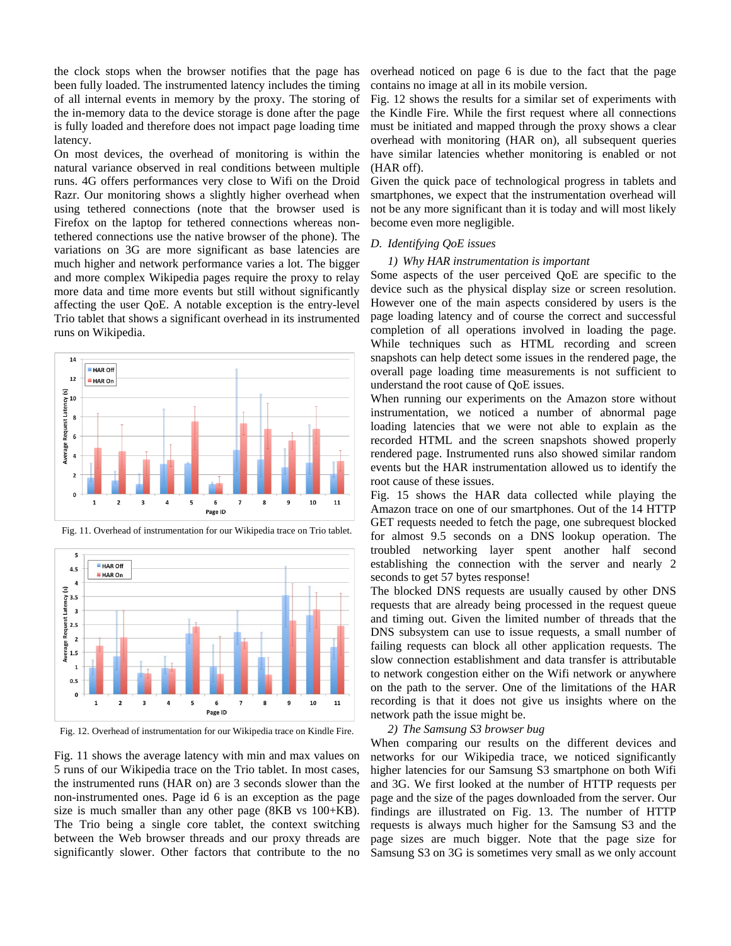the clock stops when the browser notifies that the page has been fully loaded. The instrumented latency includes the timing of all internal events in memory by the proxy. The storing of the in-memory data to the device storage is done after the page is fully loaded and therefore does not impact page loading time latency.

On most devices, the overhead of monitoring is within the natural variance observed in real conditions between multiple runs. 4G offers performances very close to Wifi on the Droid Razr. Our monitoring shows a slightly higher overhead when using tethered connections (note that the browser used is Firefox on the laptop for tethered connections whereas nontethered connections use the native browser of the phone). The variations on 3G are more significant as base latencies are much higher and network performance varies a lot. The bigger and more complex Wikipedia pages require the proxy to relay more data and time more events but still without significantly affecting the user QoE. A notable exception is the entry-level Trio tablet that shows a significant overhead in its instrumented runs on Wikipedia.



<span id="page-6-1"></span>Fig. 11. Overhead of instrumentation for our Wikipedia trace on Trio tablet.



<span id="page-6-2"></span>Fig. 12. Overhead of instrumentation for our Wikipedia trace on Kindle Fire.

[Fig. 11](#page-6-1) shows the average latency with min and max values on 5 runs of our Wikipedia trace on the Trio tablet. In most cases, the instrumented runs (HAR on) are 3 seconds slower than the non-instrumented ones. Page id 6 is an exception as the page size is much smaller than any other page (8KB vs 100+KB). The Trio being a single core tablet, the context switching between the Web browser threads and our proxy threads are significantly slower. Other factors that contribute to the no overhead noticed on page 6 is due to the fact that the page contains no image at all in its mobile version.

[Fig. 12](#page-6-2) shows the results for a similar set of experiments with the Kindle Fire. While the first request where all connections must be initiated and mapped through the proxy shows a clear overhead with monitoring (HAR on), all subsequent queries have similar latencies whether monitoring is enabled or not (HAR off).

Given the quick pace of technological progress in tablets and smartphones, we expect that the instrumentation overhead will not be any more significant than it is today and will most likely become even more negligible.

#### <span id="page-6-0"></span>*D. Identifying QoE issues*

#### *1) Why HAR instrumentation is important*

Some aspects of the user perceived QoE are specific to the device such as the physical display size or screen resolution. However one of the main aspects considered by users is the page loading latency and of course the correct and successful completion of all operations involved in loading the page. While techniques such as HTML recording and screen snapshots can help detect some issues in the rendered page, the overall page loading time measurements is not sufficient to understand the root cause of QoE issues.

When running our experiments on the Amazon store without instrumentation, we noticed a number of abnormal page loading latencies that we were not able to explain as the recorded HTML and the screen snapshots showed properly rendered page. Instrumented runs also showed similar random events but the HAR instrumentation allowed us to identify the root cause of these issues.

[Fig. 15](#page-7-1) shows the HAR data collected while playing the Amazon trace on one of our smartphones. Out of the 14 HTTP GET requests needed to fetch the page, one subrequest blocked for almost 9.5 seconds on a DNS lookup operation. The troubled networking layer spent another half second establishing the connection with the server and nearly 2 seconds to get 57 bytes response!

The blocked DNS requests are usually caused by other DNS requests that are already being processed in the request queue and timing out. Given the limited number of threads that the DNS subsystem can use to issue requests, a small number of failing requests can block all other application requests. The slow connection establishment and data transfer is attributable to network congestion either on the Wifi network or anywhere on the path to the server. One of the limitations of the HAR recording is that it does not give us insights where on the network path the issue might be.

#### *2) The Samsung S3 browser bug*

When comparing our results on the different devices and networks for our Wikipedia trace, we noticed significantly higher latencies for our Samsung S3 smartphone on both Wifi and 3G. We first looked at the number of HTTP requests per page and the size of the pages downloaded from the server. Our findings are illustrated on [Fig. 13.](#page-7-0) The number of HTTP requests is always much higher for the Samsung S3 and the page sizes are much bigger. Note that the page size for Samsung S3 on 3G is sometimes very small as we only account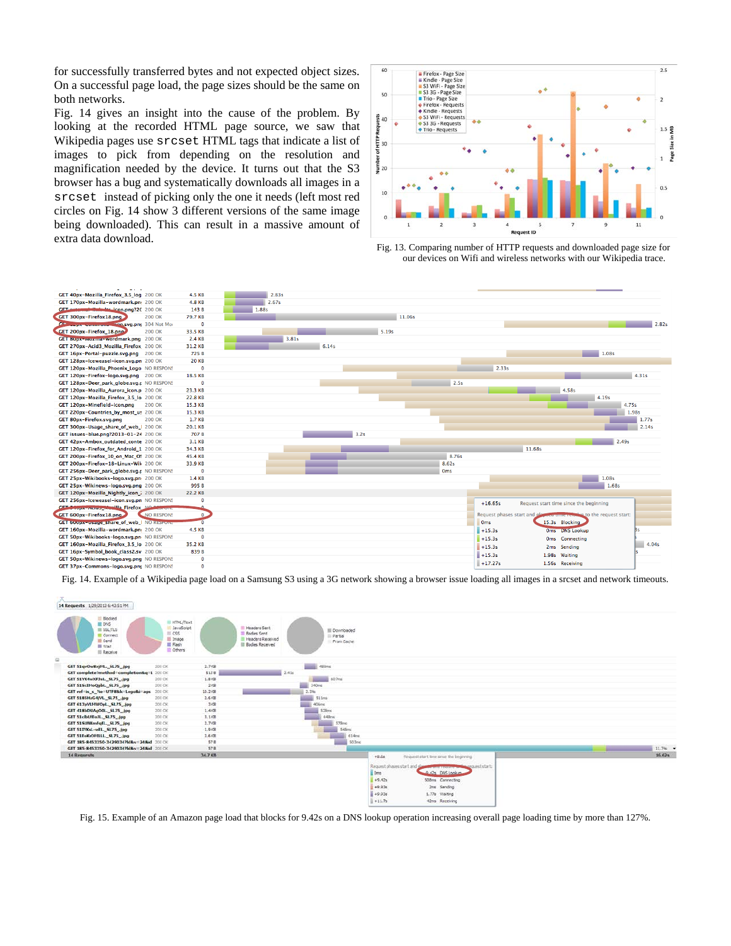for successfully transferred bytes and not expected object sizes. On a successful page load, the page sizes should be the same on both networks.

[Fig. 14](#page-7-2) gives an insight into the cause of the problem. By looking at the recorded HTML page source, we saw that Wikipedia pages use srcset HTML tags that indicate a list of images to pick from depending on the resolution and magnification needed by the device. It turns out that the S3 browser has a bug and systematically downloads all images in a srcset instead of picking only the one it needs (left most red circles on [Fig. 14](#page-7-2) show 3 different versions of the same image being downloaded). This can result in a massive amount of extra data download.



<span id="page-7-0"></span>Fig. 13. Comparing number of HTTP requests and downloaded page size for our devices on Wifi and wireless networks with our Wikipedia trace.



<span id="page-7-2"></span>Fig. 14. Example of a Wikipedia page load on a Samsung S3 using a 3G network showing a browser issue loading all images in a srcset and network timeouts.



<span id="page-7-1"></span>Fig. 15. Example of an Amazon page load that blocks for 9.42s on a DNS lookup operation increasing overall page loading time by more than 127%.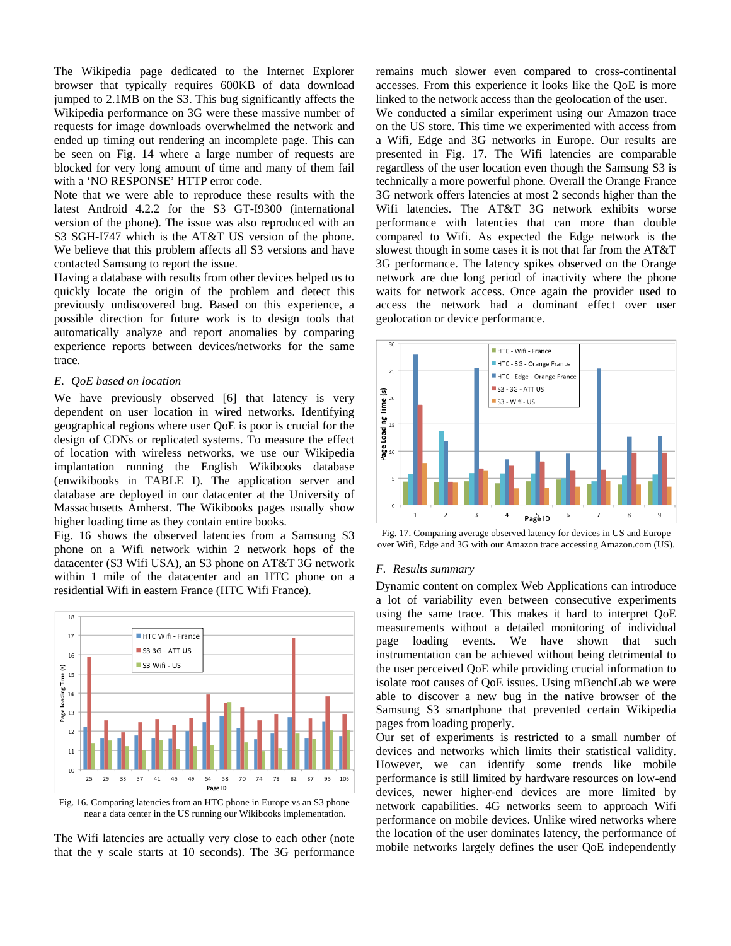The Wikipedia page dedicated to the Internet Explorer browser that typically requires 600KB of data download jumped to 2.1MB on the S3. This bug significantly affects the Wikipedia performance on 3G were these massive number of requests for image downloads overwhelmed the network and ended up timing out rendering an incomplete page. This can be seen on [Fig. 14](#page-7-2) where a large number of requests are blocked for very long amount of time and many of them fail with a 'NO RESPONSE' HTTP error code.

Note that we were able to reproduce these results with the latest Android 4.2.2 for the S3 GT-I9300 (international version of the phone). The issue was also reproduced with an S3 SGH-I747 which is the AT&T US version of the phone. We believe that this problem affects all S3 versions and have contacted Samsung to report the issue.

Having a database with results from other devices helped us to quickly locate the origin of the problem and detect this previously undiscovered bug. Based on this experience, a possible direction for future work is to design tools that automatically analyze and report anomalies by comparing experience reports between devices/networks for the same trace.

#### <span id="page-8-1"></span>*E. QoE based on location*

We have previously observed [\[6\]](#page-9-3) that latency is very dependent on user location in wired networks. Identifying geographical regions where user QoE is poor is crucial for the design of CDNs or replicated systems. To measure the effect of location with wireless networks, we use our Wikipedia implantation running the English Wikibooks database (enwikibooks in [TABLE I\)](#page-2-3). The application server and database are deployed in our datacenter at the University of Massachusetts Amherst. The Wikibooks pages usually show higher loading time as they contain entire books.

[Fig. 16](#page-8-2) shows the observed latencies from a Samsung S3 phone on a Wifi network within 2 network hops of the datacenter (S3 Wifi USA), an S3 phone on AT&T 3G network within 1 mile of the datacenter and an HTC phone on a residential Wifi in eastern France (HTC Wifi France).



<span id="page-8-2"></span>Fig. 16. Comparing latencies from an HTC phone in Europe vs an S3 phone near a data center in the US running our Wikibooks implementation.

The Wifi latencies are actually very close to each other (note that the y scale starts at 10 seconds). The 3G performance remains much slower even compared to cross-continental accesses. From this experience it looks like the QoE is more linked to the network access than the geolocation of the user.

We conducted a similar experiment using our Amazon trace on the US store. This time we experimented with access from a Wifi, Edge and 3G networks in Europe. Our results are presented in [Fig. 17.](#page-8-3) The Wifi latencies are comparable regardless of the user location even though the Samsung S3 is technically a more powerful phone. Overall the Orange France 3G network offers latencies at most 2 seconds higher than the Wifi latencies. The AT&T 3G network exhibits worse performance with latencies that can more than double compared to Wifi. As expected the Edge network is the slowest though in some cases it is not that far from the AT&T 3G performance. The latency spikes observed on the Orange network are due long period of inactivity where the phone waits for network access. Once again the provider used to access the network had a dominant effect over user geolocation or device performance.



<span id="page-8-3"></span>Fig. 17. Comparing average observed latency for devices in US and Europe over Wifi, Edge and 3G with our Amazon trace accessing Amazon.com (US).

#### <span id="page-8-0"></span>*F. Results summary*

Dynamic content on complex Web Applications can introduce a lot of variability even between consecutive experiments using the same trace. This makes it hard to interpret QoE measurements without a detailed monitoring of individual page loading events. We have shown that such instrumentation can be achieved without being detrimental to the user perceived QoE while providing crucial information to isolate root causes of QoE issues. Using mBenchLab we were able to discover a new bug in the native browser of the Samsung S3 smartphone that prevented certain Wikipedia pages from loading properly.

Our set of experiments is restricted to a small number of devices and networks which limits their statistical validity. However, we can identify some trends like mobile performance is still limited by hardware resources on low-end devices, newer higher-end devices are more limited by network capabilities. 4G networks seem to approach Wifi performance on mobile devices. Unlike wired networks where the location of the user dominates latency, the performance of mobile networks largely defines the user QoE independently